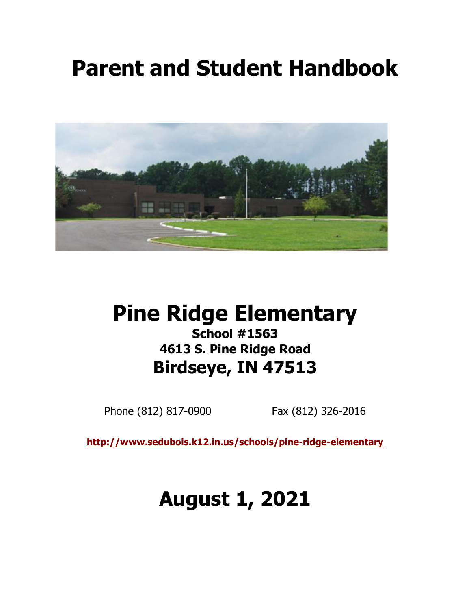# Parent and Student Handbook



# Pine Ridge Elementary School #1563 4613 S. Pine Ridge Road

Birdseye, IN 47513

Phone (812) 817-0900 Fax (812) 326-2016

http://www.sedubois.k12.in.us/schools/pine-ridge-elementary

# August 1, 2021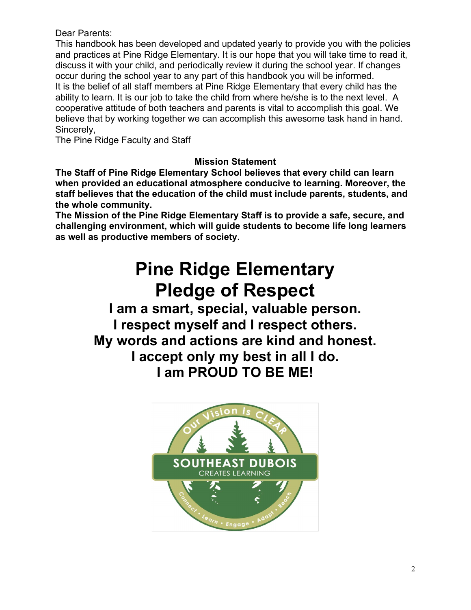#### Dear Parents:

 This handbook has been developed and updated yearly to provide you with the policies and practices at Pine Ridge Elementary. It is our hope that you will take time to read it, discuss it with your child, and periodically review it during the school year. If changes occur during the school year to any part of this handbook you will be informed. It is the belief of all staff members at Pine Ridge Elementary that every child has the ability to learn. It is our job to take the child from where he/she is to the next level. A cooperative attitude of both teachers and parents is vital to accomplish this goal. We believe that by working together we can accomplish this awesome task hand in hand. Sincerely,

The Pine Ridge Faculty and Staff

# Mission Statement

 The Staff of Pine Ridge Elementary School believes that every child can learn when provided an educational atmosphere conducive to learning. Moreover, the staff believes that the education of the child must include parents, students, and the whole community.

 The Mission of the Pine Ridge Elementary Staff is to provide a safe, secure, and challenging environment, which will guide students to become life long learners as well as productive members of society.

# Pine Ridge Elementary Pledge of Respect

I am a smart, special, valuable person. I respect myself and I respect others. My words and actions are kind and honest. I accept only my best in all I do. I am PROUD TO BE ME!

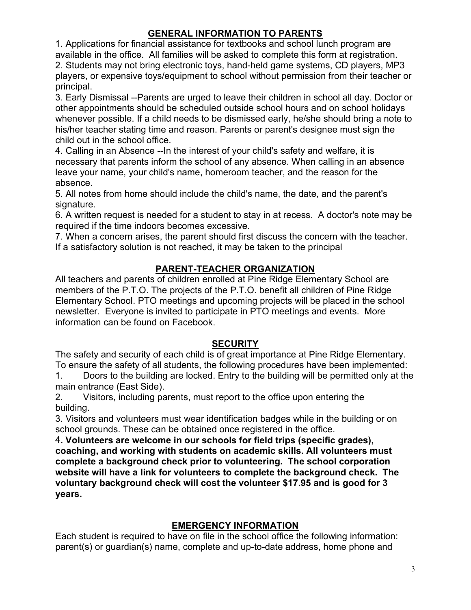# GENERAL INFORMATION TO PARENTS

1. Applications for financial assistance for textbooks and school lunch program are available in the office. All families will be asked to complete this form at registration. 2. Students may not bring electronic toys, hand-held game systems, CD players, MP3 players, or expensive toys/equipment to school without permission from their teacher or principal.

3. Early Dismissal --Parents are urged to leave their children in school all day. Doctor or other appointments should be scheduled outside school hours and on school holidays whenever possible. If a child needs to be dismissed early, he/she should bring a note to his/her teacher stating time and reason. Parents or parent's designee must sign the child out in the school office.

4. Calling in an Absence --In the interest of your child's safety and welfare, it is necessary that parents inform the school of any absence. When calling in an absence leave your name, your child's name, homeroom teacher, and the reason for the absence.

5. All notes from home should include the child's name, the date, and the parent's signature.

6. A written request is needed for a student to stay in at recess. A doctor's note may be required if the time indoors becomes excessive.

7. When a concern arises, the parent should first discuss the concern with the teacher. If a satisfactory solution is not reached, it may be taken to the principal

# PARENT-TEACHER ORGANIZATION

All teachers and parents of children enrolled at Pine Ridge Elementary School are members of the P.T.O. The projects of the P.T.O. benefit all children of Pine Ridge Elementary School. PTO meetings and upcoming projects will be placed in the school newsletter. Everyone is invited to participate in PTO meetings and events. More information can be found on Facebook.

#### **SECURITY**

The safety and security of each child is of great importance at Pine Ridge Elementary. To ensure the safety of all students, the following procedures have been implemented:

1. Doors to the building are locked. Entry to the building will be permitted only at the main entrance (East Side).

2. Visitors, including parents, must report to the office upon entering the building.

3. Visitors and volunteers must wear identification badges while in the building or on school grounds. These can be obtained once registered in the office.

4. Volunteers are welcome in our schools for field trips (specific grades), coaching, and working with students on academic skills. All volunteers must complete a background check prior to volunteering. The school corporation website will have a link for volunteers to complete the background check. The voluntary background check will cost the volunteer \$17.95 and is good for 3 years.

#### EMERGENCY INFORMATION

Each student is required to have on file in the school office the following information: parent(s) or guardian(s) name, complete and up-to-date address, home phone and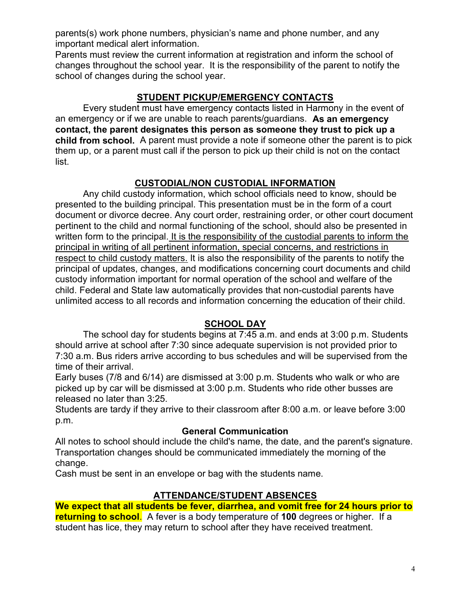parents(s) work phone numbers, physician's name and phone number, and any important medical alert information.

Parents must review the current information at registration and inform the school of changes throughout the school year. It is the responsibility of the parent to notify the school of changes during the school year.

# STUDENT PICKUP/EMERGENCY CONTACTS

 Every student must have emergency contacts listed in Harmony in the event of an emergency or if we are unable to reach parents/guardians. As an emergency contact, the parent designates this person as someone they trust to pick up a child from school. A parent must provide a note if someone other the parent is to pick them up, or a parent must call if the person to pick up their child is not on the contact list.

# CUSTODIAL/NON CUSTODIAL INFORMATION

 Any child custody information, which school officials need to know, should be presented to the building principal. This presentation must be in the form of a court document or divorce decree. Any court order, restraining order, or other court document pertinent to the child and normal functioning of the school, should also be presented in written form to the principal. It is the responsibility of the custodial parents to inform the principal in writing of all pertinent information, special concerns, and restrictions in respect to child custody matters. It is also the responsibility of the parents to notify the principal of updates, changes, and modifications concerning court documents and child custody information important for normal operation of the school and welfare of the child. Federal and State law automatically provides that non-custodial parents have unlimited access to all records and information concerning the education of their child.

#### SCHOOL DAY

 The school day for students begins at 7:45 a.m. and ends at 3:00 p.m. Students should arrive at school after 7:30 since adequate supervision is not provided prior to 7:30 a.m. Bus riders arrive according to bus schedules and will be supervised from the time of their arrival.

Early buses (7/8 and 6/14) are dismissed at 3:00 p.m. Students who walk or who are picked up by car will be dismissed at 3:00 p.m. Students who ride other busses are released no later than 3:25.

 Students are tardy if they arrive to their classroom after 8:00 a.m. or leave before 3:00 p.m.

#### General Communication

All notes to school should include the child's name, the date, and the parent's signature. Transportation changes should be communicated immediately the morning of the change.

Cash must be sent in an envelope or bag with the students name.

#### ATTENDANCE/STUDENT ABSENCES

 We expect that all students be fever, diarrhea, and vomit free for 24 hours prior to returning to school. A fever is a body temperature of 100 degrees or higher. If a student has lice, they may return to school after they have received treatment.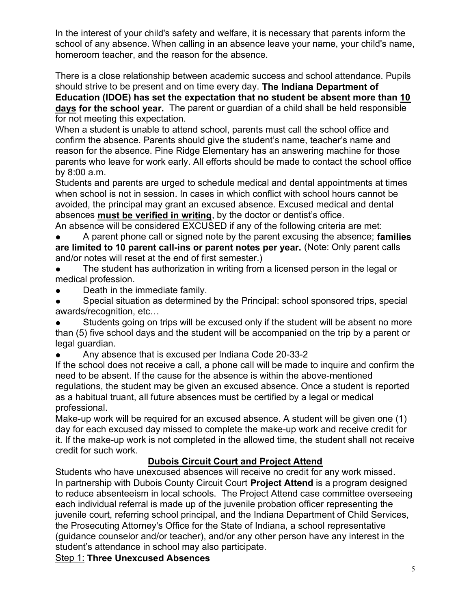In the interest of your child's safety and welfare, it is necessary that parents inform the school of any absence. When calling in an absence leave your name, your child's name, homeroom teacher, and the reason for the absence.

There is a close relationship between academic success and school attendance. Pupils should strive to be present and on time every day. The Indiana Department of

Education (IDOE) has set the expectation that no student be absent more than 10 days for the school year. The parent or guardian of a child shall be held responsible for not meeting this expectation.

 When a student is unable to attend school, parents must call the school office and confirm the absence. Parents should give the student's name, teacher's name and reason for the absence. Pine Ridge Elementary has an answering machine for those parents who leave for work early. All efforts should be made to contact the school office by 8:00 a.m.

Students and parents are urged to schedule medical and dental appointments at times when school is not in session. In cases in which conflict with school hours cannot be avoided, the principal may grant an excused absence. Excused medical and dental absences must be verified in writing, by the doctor or dentist's office.

An absence will be considered EXCUSED if any of the following criteria are met: A parent phone call or signed note by the parent excusing the absence; families are limited to 10 parent call-ins or parent notes per year. (Note: Only parent calls

and/or notes will reset at the end of first semester.)

- The student has authorization in writing from a licensed person in the legal or medical profession.
- Death in the immediate family.

Special situation as determined by the Principal: school sponsored trips, special awards/recognition, etc…

Students going on trips will be excused only if the student will be absent no more than (5) five school days and the student will be accompanied on the trip by a parent or legal guardian.

Any absence that is excused per Indiana Code 20-33-2

If the school does not receive a call, a phone call will be made to inquire and confirm the need to be absent. If the cause for the absence is within the above-mentioned regulations, the student may be given an excused absence. Once a student is reported as a habitual truant, all future absences must be certified by a legal or medical professional.

Make-up work will be required for an excused absence. A student will be given one (1) day for each excused day missed to complete the make-up work and receive credit for it. If the make-up work is not completed in the allowed time, the student shall not receive credit for such work.

# Dubois Circuit Court and Project Attend

 Students who have unexcused absences will receive no credit for any work missed. In partnership with Dubois County Circuit Court Project Attend is a program designed to reduce absenteeism in local schools. The Project Attend case committee overseeing each individual referral is made up of the juvenile probation officer representing the juvenile court, referring school principal, and the Indiana Department of Child Services, the Prosecuting Attorney's Office for the State of Indiana, a school representative (guidance counselor and/or teacher), and/or any other person have any interest in the student's attendance in school may also participate.

**Step 1: Three Unexcused Absences**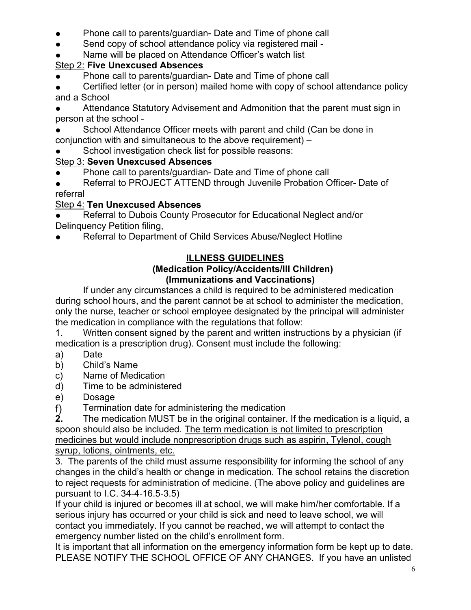- Phone call to parents/guardian- Date and Time of phone call
- Send copy of school attendance policy via registered mail -
- Name will be placed on Attendance Officer's watch list

# Step 2: Five Unexcused Absences

- Phone call to parents/guardian- Date and Time of phone call
- Certified letter (or in person) mailed home with copy of school attendance policy and a School
- Attendance Statutory Advisement and Admonition that the parent must sign in person at the school -
- School Attendance Officer meets with parent and child (Can be done in conjunction with and simultaneous to the above requirement) –
- School investigation check list for possible reasons:

# Step 3: Seven Unexcused Absences

- Phone call to parents/guardian- Date and Time of phone call
- Referral to PROJECT ATTEND through Juvenile Probation Officer- Date of referral

# Step 4: Ten Unexcused Absences

Referral to Dubois County Prosecutor for Educational Neglect and/or Delinquency Petition filing,

Referral to Department of Child Services Abuse/Neglect Hotline

# ILLNESS GUIDELINES

#### (Medication Policy/Accidents/Ill Children) (Immunizations and Vaccinations)

 If under any circumstances a child is required to be administered medication during school hours, and the parent cannot be at school to administer the medication, only the nurse, teacher or school employee designated by the principal will administer the medication in compliance with the regulations that follow:

1. Written consent signed by the parent and written instructions by a physician (if medication is a prescription drug). Consent must include the following:

- a) Date
- b) Child's Name
- c) Name of Medication
- d) Time to be administered
- e) Dosage
- f) Termination date for administering the medication  $\overline{2}$ . The medication MUST be in the original container.

The medication MUST be in the original container. If the medication is a liquid, a spoon should also be included. The term medication is not limited to prescription medicines but would include nonprescription drugs such as aspirin, Tylenol, cough syrup, lotions, ointments, etc.

3. The parents of the child must assume responsibility for informing the school of any changes in the child's health or change in medication. The school retains the discretion to reject requests for administration of medicine. (The above policy and guidelines are pursuant to I.C. 34-4-16.5-3.5)

 If your child is injured or becomes ill at school, we will make him/her comfortable. If a serious injury has occurred or your child is sick and need to leave school, we will contact you immediately. If you cannot be reached, we will attempt to contact the emergency number listed on the child's enrollment form.

It is important that all information on the emergency information form be kept up to date. PLEASE NOTIFY THE SCHOOL OFFICE OF ANY CHANGES. If you have an unlisted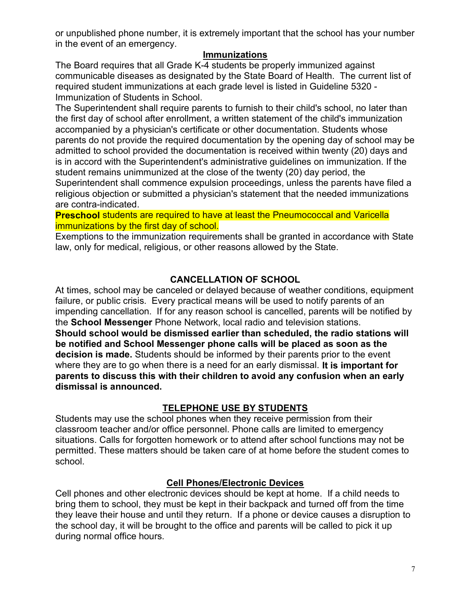or unpublished phone number, it is extremely important that the school has your number in the event of an emergency.

#### Immunizations

 The Board requires that all Grade K-4 students be properly immunized against communicable diseases as designated by the State Board of Health. The current list of required student immunizations at each grade level is listed in Guideline 5320 - Immunization of Students in School.

 The Superintendent shall require parents to furnish to their child's school, no later than the first day of school after enrollment, a written statement of the child's immunization accompanied by a physician's certificate or other documentation. Students whose parents do not provide the required documentation by the opening day of school may be admitted to school provided the documentation is received within twenty (20) days and is in accord with the Superintendent's administrative guidelines on immunization. If the student remains unimmunized at the close of the twenty (20) day period, the Superintendent shall commence expulsion proceedings, unless the parents have filed a religious objection or submitted a physician's statement that the needed immunizations are contra-indicated.

**Preschool** students are required to have at least the Pneumococcal and Varicella immunizations by the first day of school.

 Exemptions to the immunization requirements shall be granted in accordance with State law, only for medical, religious, or other reasons allowed by the State.

# CANCELLATION OF SCHOOL

At times, school may be canceled or delayed because of weather conditions, equipment failure, or public crisis. Every practical means will be used to notify parents of an impending cancellation. If for any reason school is cancelled, parents will be notified by the School Messenger Phone Network, local radio and television stations. Should school would be dismissed earlier than scheduled, the radio stations will be notified and School Messenger phone calls will be placed as soon as the decision is made. Students should be informed by their parents prior to the event where they are to go when there is a need for an early dismissal. It is important for parents to discuss this with their children to avoid any confusion when an early dismissal is announced.

# TELEPHONE USE BY STUDENTS

 Students may use the school phones when they receive permission from their classroom teacher and/or office personnel. Phone calls are limited to emergency situations. Calls for forgotten homework or to attend after school functions may not be permitted. These matters should be taken care of at home before the student comes to school.

#### Cell Phones/Electronic Devices

Cell phones and other electronic devices should be kept at home. If a child needs to bring them to school, they must be kept in their backpack and turned off from the time they leave their house and until they return. If a phone or device causes a disruption to the school day, it will be brought to the office and parents will be called to pick it up during normal office hours.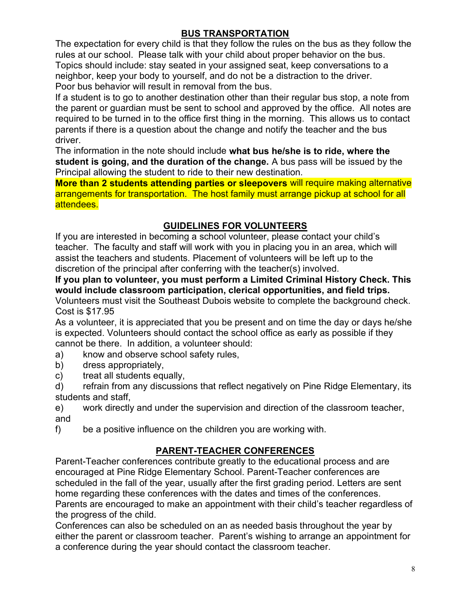# BUS TRANSPORTATION

 The expectation for every child is that they follow the rules on the bus as they follow the rules at our school. Please talk with your child about proper behavior on the bus. Topics should include: stay seated in your assigned seat, keep conversations to a neighbor, keep your body to yourself, and do not be a distraction to the driver. Poor bus behavior will result in removal from the bus.

If a student is to go to another destination other than their regular bus stop, a note from the parent or guardian must be sent to school and approved by the office. All notes are required to be turned in to the office first thing in the morning. This allows us to contact parents if there is a question about the change and notify the teacher and the bus driver.

The information in the note should include what bus he/she is to ride, where the student is going, and the duration of the change. A bus pass will be issued by the Principal allowing the student to ride to their new destination.

More than 2 students attending parties or sleepovers will require making alternative arrangements for transportation. The host family must arrange pickup at school for all attendees.

# GUIDELINES FOR VOLUNTEERS

 If you are interested in becoming a school volunteer, please contact your child's teacher. The faculty and staff will work with you in placing you in an area, which will assist the teachers and students. Placement of volunteers will be left up to the discretion of the principal after conferring with the teacher(s) involved.

# If you plan to volunteer, you must perform a Limited Criminal History Check. This would include classroom participation, clerical opportunities, and field trips.

Volunteers must visit the Southeast Dubois website to complete the background check. Cost is \$17.95

 As a volunteer, it is appreciated that you be present and on time the day or days he/she is expected. Volunteers should contact the school office as early as possible if they cannot be there. In addition, a volunteer should:

- a) know and observe school safety rules,
- b) dress appropriately,
- c) treat all students equally,

d) refrain from any discussions that reflect negatively on Pine Ridge Elementary, its students and staff,

e) work directly and under the supervision and direction of the classroom teacher, and

f) be a positive influence on the children you are working with.

# PARENT-TEACHER CONFERENCES

 Parent-Teacher conferences contribute greatly to the educational process and are encouraged at Pine Ridge Elementary School. Parent-Teacher conferences are scheduled in the fall of the year, usually after the first grading period. Letters are sent home regarding these conferences with the dates and times of the conferences. Parents are encouraged to make an appointment with their child's teacher regardless of the progress of the child.

Conferences can also be scheduled on an as needed basis throughout the year by either the parent or classroom teacher. Parent's wishing to arrange an appointment for a conference during the year should contact the classroom teacher.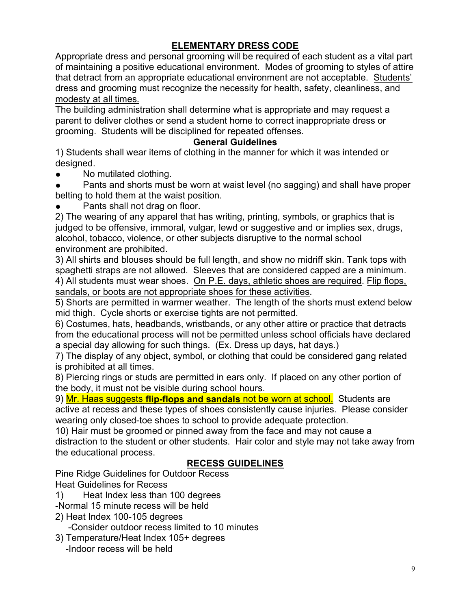# ELEMENTARY DRESS CODE

Appropriate dress and personal grooming will be required of each student as a vital part of maintaining a positive educational environment. Modes of grooming to styles of attire that detract from an appropriate educational environment are not acceptable. Students' dress and grooming must recognize the necessity for health, safety, cleanliness, and modesty at all times.

The building administration shall determine what is appropriate and may request a parent to deliver clothes or send a student home to correct inappropriate dress or grooming. Students will be disciplined for repeated offenses.

#### General Guidelines

1) Students shall wear items of clothing in the manner for which it was intended or designed.

• No mutilated clothing.

Pants and shorts must be worn at waist level (no sagging) and shall have proper belting to hold them at the waist position.

Pants shall not drag on floor.

2) The wearing of any apparel that has writing, printing, symbols, or graphics that is judged to be offensive, immoral, vulgar, lewd or suggestive and or implies sex, drugs, alcohol, tobacco, violence, or other subjects disruptive to the normal school environment are prohibited.

3) All shirts and blouses should be full length, and show no midriff skin. Tank tops with spaghetti straps are not allowed. Sleeves that are considered capped are a minimum. 4) All students must wear shoes. On P.E. days, athletic shoes are required. Flip flops, sandals, or boots are not appropriate shoes for these activities.

5) Shorts are permitted in warmer weather. The length of the shorts must extend below mid thigh. Cycle shorts or exercise tights are not permitted.

6) Costumes, hats, headbands, wristbands, or any other attire or practice that detracts from the educational process will not be permitted unless school officials have declared a special day allowing for such things. (Ex. Dress up days, hat days.)

7) The display of any object, symbol, or clothing that could be considered gang related is prohibited at all times.

8) Piercing rings or studs are permitted in ears only. If placed on any other portion of the body, it must not be visible during school hours.

9) Mr. Haas suggests flip-flops and sandals not be worn at school. Students are active at recess and these types of shoes consistently cause injuries. Please consider wearing only closed-toe shoes to school to provide adequate protection.

10) Hair must be groomed or pinned away from the face and may not cause a distraction to the student or other students. Hair color and style may not take away from the educational process.

#### RECESS GUIDELINES

Pine Ridge Guidelines for Outdoor Recess Heat Guidelines for Recess

1) Heat Index less than 100 degrees

- -Normal 15 minute recess will be held
- 2) Heat Index 100-105 degrees -Consider outdoor recess limited to 10 minutes
- 3) Temperature/Heat Index 105+ degrees -Indoor recess will be held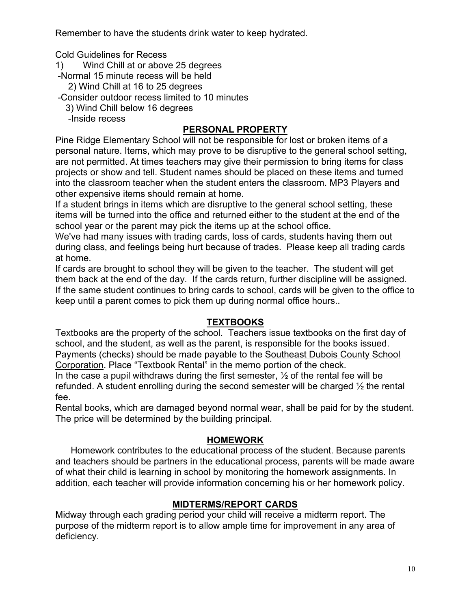Remember to have the students drink water to keep hydrated.

Cold Guidelines for Recess

- 1) Wind Chill at or above 25 degrees
- -Normal 15 minute recess will be held
	- 2) Wind Chill at 16 to 25 degrees
- -Consider outdoor recess limited to 10 minutes
	- 3) Wind Chill below 16 degrees
	- -Inside recess

# PERSONAL PROPERTY

 Pine Ridge Elementary School will not be responsible for lost or broken items of a personal nature. Items, which may prove to be disruptive to the general school setting, are not permitted. At times teachers may give their permission to bring items for class projects or show and tell. Student names should be placed on these items and turned into the classroom teacher when the student enters the classroom. MP3 Players and other expensive items should remain at home.

 If a student brings in items which are disruptive to the general school setting, these items will be turned into the office and returned either to the student at the end of the school year or the parent may pick the items up at the school office.

We've had many issues with trading cards, loss of cards, students having them out during class, and feelings being hurt because of trades. Please keep all trading cards at home.

If cards are brought to school they will be given to the teacher. The student will get them back at the end of the day. If the cards return, further discipline will be assigned. If the same student continues to bring cards to school, cards will be given to the office to keep until a parent comes to pick them up during normal office hours..

#### **TEXTBOOKS**

 Textbooks are the property of the school. Teachers issue textbooks on the first day of school, and the student, as well as the parent, is responsible for the books issued. Payments (checks) should be made payable to the Southeast Dubois County School Corporation. Place "Textbook Rental" in the memo portion of the check. In the case a pupil withdraws during the first semester,  $\frac{1}{2}$  of the rental fee will be refunded. A student enrolling during the second semester will be charged ½ the rental fee.

Rental books, which are damaged beyond normal wear, shall be paid for by the student. The price will be determined by the building principal.

#### HOMEWORK

 Homework contributes to the educational process of the student. Because parents and teachers should be partners in the educational process, parents will be made aware of what their child is learning in school by monitoring the homework assignments. In addition, each teacher will provide information concerning his or her homework policy.

#### MIDTERMS/REPORT CARDS

 Midway through each grading period your child will receive a midterm report. The purpose of the midterm report is to allow ample time for improvement in any area of deficiency.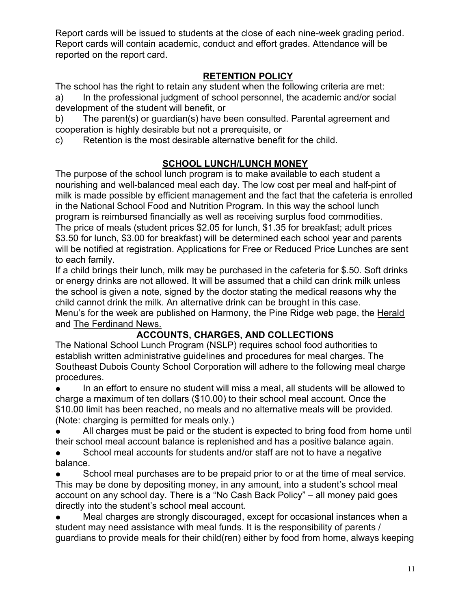Report cards will be issued to students at the close of each nine-week grading period. Report cards will contain academic, conduct and effort grades. Attendance will be reported on the report card.

# RETENTION POLICY

The school has the right to retain any student when the following criteria are met: a) In the professional judgment of school personnel, the academic and/or social development of the student will benefit, or

b) The parent(s) or guardian(s) have been consulted. Parental agreement and cooperation is highly desirable but not a prerequisite, or

c) Retention is the most desirable alternative benefit for the child.

# SCHOOL LUNCH/LUNCH MONEY

The purpose of the school lunch program is to make available to each student a nourishing and well-balanced meal each day. The low cost per meal and half-pint of milk is made possible by efficient management and the fact that the cafeteria is enrolled in the National School Food and Nutrition Program. In this way the school lunch program is reimbursed financially as well as receiving surplus food commodities. The price of meals (student prices \$2.05 for lunch, \$1.35 for breakfast; adult prices \$3.50 for lunch, \$3.00 for breakfast) will be determined each school year and parents will be notified at registration. Applications for Free or Reduced Price Lunches are sent to each family.

If a child brings their lunch, milk may be purchased in the cafeteria for \$.50. Soft drinks or energy drinks are not allowed. It will be assumed that a child can drink milk unless the school is given a note, signed by the doctor stating the medical reasons why the child cannot drink the milk. An alternative drink can be brought in this case. Menu's for the week are published on Harmony, the Pine Ridge web page, the Herald and The Ferdinand News.

# ACCOUNTS, CHARGES, AND COLLECTIONS

The National School Lunch Program (NSLP) requires school food authorities to establish written administrative guidelines and procedures for meal charges. The Southeast Dubois County School Corporation will adhere to the following meal charge procedures.

In an effort to ensure no student will miss a meal, all students will be allowed to charge a maximum of ten dollars (\$10.00) to their school meal account. Once the \$10.00 limit has been reached, no meals and no alternative meals will be provided. (Note: charging is permitted for meals only.)

All charges must be paid or the student is expected to bring food from home until their school meal account balance is replenished and has a positive balance again.

School meal accounts for students and/or staff are not to have a negative balance.

School meal purchases are to be prepaid prior to or at the time of meal service. This may be done by depositing money, in any amount, into a student's school meal account on any school day. There is a "No Cash Back Policy" – all money paid goes directly into the student's school meal account.

Meal charges are strongly discouraged, except for occasional instances when a student may need assistance with meal funds. It is the responsibility of parents / guardians to provide meals for their child(ren) either by food from home, always keeping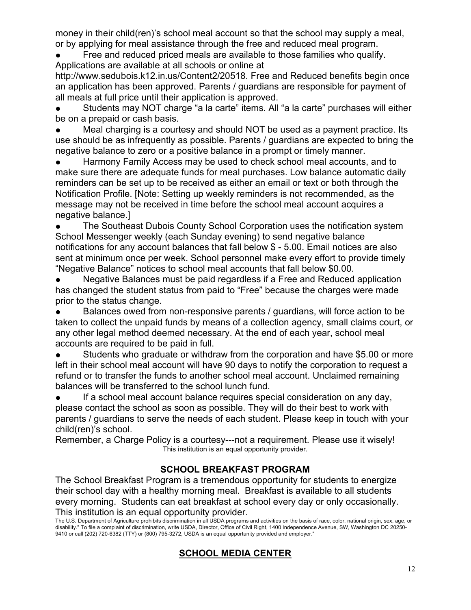money in their child(ren)'s school meal account so that the school may supply a meal, or by applying for meal assistance through the free and reduced meal program.

Free and reduced priced meals are available to those families who qualify. Applications are available at all schools or online at

http://www.sedubois.k12.in.us/Content2/20518. Free and Reduced benefits begin once an application has been approved. Parents / guardians are responsible for payment of all meals at full price until their application is approved.

Students may NOT charge "a la carte" items. All "a la carte" purchases will either be on a prepaid or cash basis.

Meal charging is a courtesy and should NOT be used as a payment practice. Its use should be as infrequently as possible. Parents / guardians are expected to bring the negative balance to zero or a positive balance in a prompt or timely manner.

Harmony Family Access may be used to check school meal accounts, and to make sure there are adequate funds for meal purchases. Low balance automatic daily reminders can be set up to be received as either an email or text or both through the Notification Profile. [Note: Setting up weekly reminders is not recommended, as the message may not be received in time before the school meal account acquires a negative balance.]

The Southeast Dubois County School Corporation uses the notification system School Messenger weekly (each Sunday evening) to send negative balance notifications for any account balances that fall below \$ - 5.00. Email notices are also sent at minimum once per week. School personnel make every effort to provide timely "Negative Balance" notices to school meal accounts that fall below \$0.00.

Negative Balances must be paid regardless if a Free and Reduced application has changed the student status from paid to "Free" because the charges were made prior to the status change.

Balances owed from non-responsive parents / guardians, will force action to be taken to collect the unpaid funds by means of a collection agency, small claims court, or any other legal method deemed necessary. At the end of each year, school meal accounts are required to be paid in full.

Students who graduate or withdraw from the corporation and have \$5.00 or more left in their school meal account will have 90 days to notify the corporation to request a refund or to transfer the funds to another school meal account. Unclaimed remaining balances will be transferred to the school lunch fund.

If a school meal account balance requires special consideration on any day, please contact the school as soon as possible. They will do their best to work with parents / guardians to serve the needs of each student. Please keep in touch with your child(ren)'s school.

Remember, a Charge Policy is a courtesy---not a requirement. Please use it wisely! This institution is an equal opportunity provider.

# SCHOOL BREAKFAST PROGRAM

The School Breakfast Program is a tremendous opportunity for students to energize their school day with a healthy morning meal. Breakfast is available to all students every morning. Students can eat breakfast at school every day or only occasionally. This institution is an equal opportunity provider.

The U.S. Department of Agriculture prohibits discrimination in all USDA programs and activities on the basis of race, color, national origin, sex, age, or disability." To file a complaint of discrimination, write USDA, Director, Office of Civil Right, 1400 Independence Avenue, SW, Washington DC 20250- 9410 or call (202) 720-6382 (TTY) or (800) 795-3272, USDA is an equal opportunity provided and employer."

# SCHOOL MEDIA CENTER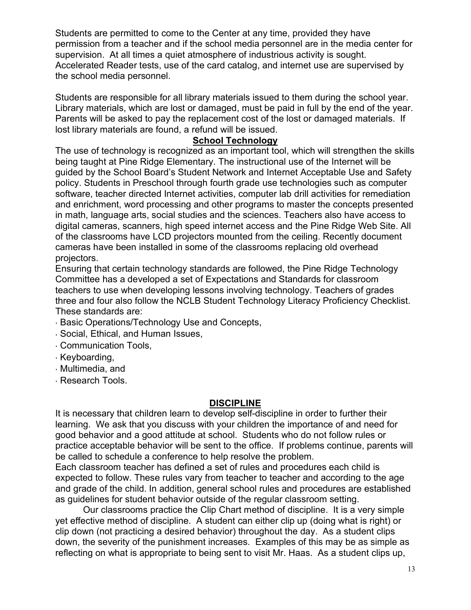Students are permitted to come to the Center at any time, provided they have permission from a teacher and if the school media personnel are in the media center for supervision. At all times a quiet atmosphere of industrious activity is sought. Accelerated Reader tests, use of the card catalog, and internet use are supervised by the school media personnel.

Students are responsible for all library materials issued to them during the school year. Library materials, which are lost or damaged, must be paid in full by the end of the year. Parents will be asked to pay the replacement cost of the lost or damaged materials. If lost library materials are found, a refund will be issued.

#### School Technology

The use of technology is recognized as an important tool, which will strengthen the skills being taught at Pine Ridge Elementary. The instructional use of the Internet will be guided by the School Board's Student Network and Internet Acceptable Use and Safety policy. Students in Preschool through fourth grade use technologies such as computer software, teacher directed Internet activities, computer lab drill activities for remediation and enrichment, word processing and other programs to master the concepts presented in math, language arts, social studies and the sciences. Teachers also have access to digital cameras, scanners, high speed internet access and the Pine Ridge Web Site. All of the classrooms have LCD projectors mounted from the ceiling. Recently document cameras have been installed in some of the classrooms replacing old overhead projectors.

Ensuring that certain technology standards are followed, the Pine Ridge Technology Committee has a developed a set of Expectations and Standards for classroom teachers to use when developing lessons involving technology. Teachers of grades three and four also follow the NCLB Student Technology Literacy Proficiency Checklist. These standards are:

- ∙ Basic Operations/Technology Use and Concepts,
- ∙ Social, Ethical, and Human Issues,
- ∙ Communication Tools,
- ∙ Keyboarding,
- ∙ Multimedia, and
- ∙ Research Tools.

#### DISCIPLINE

It is necessary that children learn to develop self-discipline in order to further their learning. We ask that you discuss with your children the importance of and need for good behavior and a good attitude at school. Students who do not follow rules or practice acceptable behavior will be sent to the office. If problems continue, parents will be called to schedule a conference to help resolve the problem.

 Each classroom teacher has defined a set of rules and procedures each child is expected to follow. These rules vary from teacher to teacher and according to the age and grade of the child. In addition, general school rules and procedures are established as guidelines for student behavior outside of the regular classroom setting.

 Our classrooms practice the Clip Chart method of discipline. It is a very simple yet effective method of discipline. A student can either clip up (doing what is right) or clip down (not practicing a desired behavior) throughout the day. As a student clips down, the severity of the punishment increases. Examples of this may be as simple as reflecting on what is appropriate to being sent to visit Mr. Haas. As a student clips up,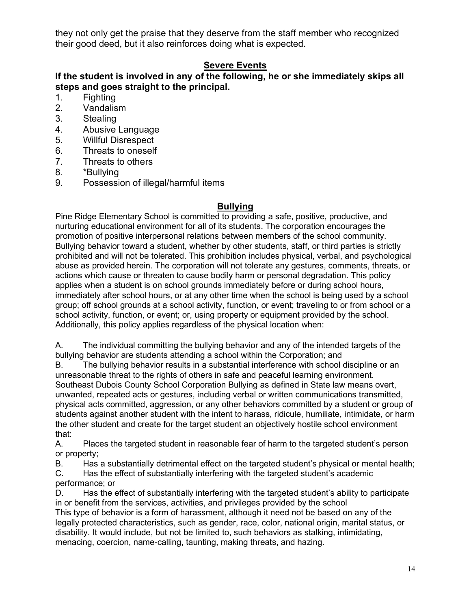they not only get the praise that they deserve from the staff member who recognized their good deed, but it also reinforces doing what is expected.

# Severe Events

#### If the student is involved in any of the following, he or she immediately skips all steps and goes straight to the principal.

- 1. Fighting
- 2. Vandalism
- 3. Stealing
- 4. Abusive Language
- 5. Willful Disrespect
- 6. Threats to oneself
- 7. Threats to others
- 8. \*Bullying
- 9. Possession of illegal/harmful items

#### Bullying

 Pine Ridge Elementary School is committed to providing a safe, positive, productive, and nurturing educational environment for all of its students. The corporation encourages the promotion of positive interpersonal relations between members of the school community. Bullying behavior toward a student, whether by other students, staff, or third parties is strictly prohibited and will not be tolerated. This prohibition includes physical, verbal, and psychological abuse as provided herein. The corporation will not tolerate any gestures, comments, threats, or actions which cause or threaten to cause bodily harm or personal degradation. This policy applies when a student is on school grounds immediately before or during school hours, immediately after school hours, or at any other time when the school is being used by a school group; off school grounds at a school activity, function, or event; traveling to or from school or a school activity, function, or event; or, using property or equipment provided by the school. Additionally, this policy applies regardless of the physical location when:

A. The individual committing the bullying behavior and any of the intended targets of the bullying behavior are students attending a school within the Corporation; and

B. The bullying behavior results in a substantial interference with school discipline or an unreasonable threat to the rights of others in safe and peaceful learning environment. Southeast Dubois County School Corporation Bullying as defined in State law means overt, unwanted, repeated acts or gestures, including verbal or written communications transmitted, physical acts committed, aggression, or any other behaviors committed by a student or group of students against another student with the intent to harass, ridicule, humiliate, intimidate, or harm the other student and create for the target student an objectively hostile school environment that:

A. Places the targeted student in reasonable fear of harm to the targeted student's person or property;

B. Has a substantially detrimental effect on the targeted student's physical or mental health; C. Has the effect of substantially interfering with the targeted student's academic

#### performance; or

D. Has the effect of substantially interfering with the targeted student's ability to participate in or benefit from the services, activities, and privileges provided by the school This type of behavior is a form of harassment, although it need not be based on any of the legally protected characteristics, such as gender, race, color, national origin, marital status, or disability. It would include, but not be limited to, such behaviors as stalking, intimidating, menacing, coercion, name-calling, taunting, making threats, and hazing.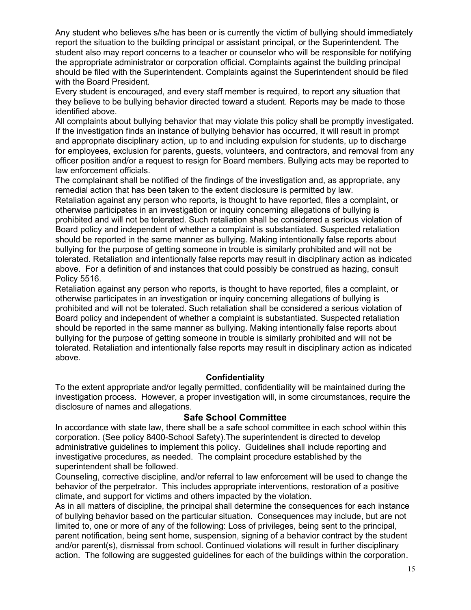Any student who believes s/he has been or is currently the victim of bullying should immediately report the situation to the building principal or assistant principal, or the Superintendent. The student also may report concerns to a teacher or counselor who will be responsible for notifying the appropriate administrator or corporation official. Complaints against the building principal should be filed with the Superintendent. Complaints against the Superintendent should be filed with the Board President.

Every student is encouraged, and every staff member is required, to report any situation that they believe to be bullying behavior directed toward a student. Reports may be made to those identified above.

All complaints about bullying behavior that may violate this policy shall be promptly investigated. If the investigation finds an instance of bullying behavior has occurred, it will result in prompt and appropriate disciplinary action, up to and including expulsion for students, up to discharge for employees, exclusion for parents, guests, volunteers, and contractors, and removal from any officer position and/or a request to resign for Board members. Bullying acts may be reported to law enforcement officials.

The complainant shall be notified of the findings of the investigation and, as appropriate, any remedial action that has been taken to the extent disclosure is permitted by law.

Retaliation against any person who reports, is thought to have reported, files a complaint, or otherwise participates in an investigation or inquiry concerning allegations of bullying is prohibited and will not be tolerated. Such retaliation shall be considered a serious violation of Board policy and independent of whether a complaint is substantiated. Suspected retaliation should be reported in the same manner as bullying. Making intentionally false reports about bullying for the purpose of getting someone in trouble is similarly prohibited and will not be tolerated. Retaliation and intentionally false reports may result in disciplinary action as indicated above. For a definition of and instances that could possibly be construed as hazing, consult Policy 5516.

Retaliation against any person who reports, is thought to have reported, files a complaint, or otherwise participates in an investigation or inquiry concerning allegations of bullying is prohibited and will not be tolerated. Such retaliation shall be considered a serious violation of Board policy and independent of whether a complaint is substantiated. Suspected retaliation should be reported in the same manner as bullying. Making intentionally false reports about bullying for the purpose of getting someone in trouble is similarly prohibited and will not be tolerated. Retaliation and intentionally false reports may result in disciplinary action as indicated above.

#### **Confidentiality**

To the extent appropriate and/or legally permitted, confidentiality will be maintained during the investigation process. However, a proper investigation will, in some circumstances, require the disclosure of names and allegations.

#### Safe School Committee

In accordance with state law, there shall be a safe school committee in each school within this corporation. (See policy 8400-School Safety).The superintendent is directed to develop administrative guidelines to implement this policy. Guidelines shall include reporting and investigative procedures, as needed. The complaint procedure established by the superintendent shall be followed.

Counseling, corrective discipline, and/or referral to law enforcement will be used to change the behavior of the perpetrator. This includes appropriate interventions, restoration of a positive climate, and support for victims and others impacted by the violation.

As in all matters of discipline, the principal shall determine the consequences for each instance of bullying behavior based on the particular situation. Consequences may include, but are not limited to, one or more of any of the following: Loss of privileges, being sent to the principal, parent notification, being sent home, suspension, signing of a behavior contract by the student and/or parent(s), dismissal from school. Continued violations will result in further disciplinary action. The following are suggested guidelines for each of the buildings within the corporation.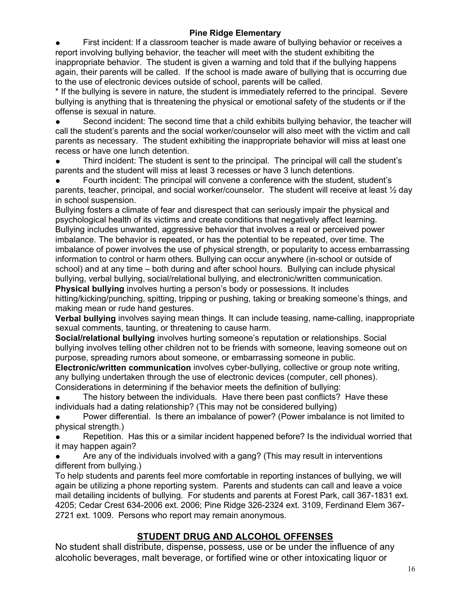#### Pine Ridge Elementary

First incident: If a classroom teacher is made aware of bullying behavior or receives a report involving bullying behavior, the teacher will meet with the student exhibiting the inappropriate behavior. The student is given a warning and told that if the bullying happens again, their parents will be called. If the school is made aware of bullying that is occurring due to the use of electronic devices outside of school, parents will be called.

\* If the bullying is severe in nature, the student is immediately referred to the principal. Severe bullying is anything that is threatening the physical or emotional safety of the students or if the offense is sexual in nature.

Second incident: The second time that a child exhibits bullying behavior, the teacher will call the student's parents and the social worker/counselor will also meet with the victim and call parents as necessary. The student exhibiting the inappropriate behavior will miss at least one recess or have one lunch detention.

Third incident: The student is sent to the principal. The principal will call the student's parents and the student will miss at least 3 recesses or have 3 lunch detentions.

Fourth incident: The principal will convene a conference with the student, student's parents, teacher, principal, and social worker/counselor. The student will receive at least ½ day in school suspension.

Bullying fosters a climate of fear and disrespect that can seriously impair the physical and psychological health of its victims and create conditions that negatively affect learning. Bullying includes unwanted, aggressive behavior that involves a real or perceived power imbalance. The behavior is repeated, or has the potential to be repeated, over time. The imbalance of power involves the use of physical strength, or popularity to access embarrassing information to control or harm others. Bullying can occur anywhere (in-school or outside of school) and at any time – both during and after school hours. Bullying can include physical bullying, verbal bullying, social/relational bullying, and electronic/written communication. Physical bullying involves hurting a person's body or possessions. It includes

hitting/kicking/punching, spitting, tripping or pushing, taking or breaking someone's things, and making mean or rude hand gestures.

Verbal bullying involves saying mean things. It can include teasing, name-calling, inappropriate sexual comments, taunting, or threatening to cause harm.

Social/relational bullying involves hurting someone's reputation or relationships. Social bullying involves telling other children not to be friends with someone, leaving someone out on purpose, spreading rumors about someone, or embarrassing someone in public.

Electronic/written communication involves cyber-bullying, collective or group note writing, any bullying undertaken through the use of electronic devices (computer, cell phones). Considerations in determining if the behavior meets the definition of bullying:

The history between the individuals. Have there been past conflicts? Have these individuals had a dating relationship? (This may not be considered bullying)

Power differential. Is there an imbalance of power? (Power imbalance is not limited to physical strength.)

Repetition. Has this or a similar incident happened before? Is the individual worried that it may happen again?

Are any of the individuals involved with a gang? (This may result in interventions different from bullying.)

To help students and parents feel more comfortable in reporting instances of bullying, we will again be utilizing a phone reporting system. Parents and students can call and leave a voice mail detailing incidents of bullying. For students and parents at Forest Park, call 367-1831 ext. 4205; Cedar Crest 634-2006 ext. 2006; Pine Ridge 326-2324 ext. 3109, Ferdinand Elem 367- 2721 ext. 1009. Persons who report may remain anonymous.

#### STUDENT DRUG AND ALCOHOL OFFENSES

No student shall distribute, dispense, possess, use or be under the influence of any alcoholic beverages, malt beverage, or fortified wine or other intoxicating liquor or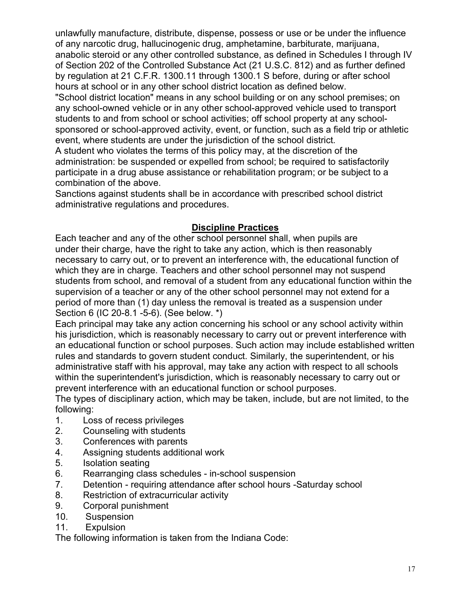unlawfully manufacture, distribute, dispense, possess or use or be under the influence of any narcotic drug, hallucinogenic drug, amphetamine, barbiturate, marijuana, anabolic steroid or any other controlled substance, as defined in Schedules I through IV of Section 202 of the Controlled Substance Act (21 U.S.C. 812) and as further defined by regulation at 21 C.F.R. 1300.11 through 1300.1 S before, during or after school hours at school or in any other school district location as defined below. "School district location" means in any school building or on any school premises; on any school-owned vehicle or in any other school-approved vehicle used to transport students to and from school or school activities; off school property at any schoolsponsored or school-approved activity, event, or function, such as a field trip or athletic event, where students are under the jurisdiction of the school district.

A student who violates the terms of this policy may, at the discretion of the administration: be suspended or expelled from school; be required to satisfactorily participate in a drug abuse assistance or rehabilitation program; or be subject to a combination of the above.

Sanctions against students shall be in accordance with prescribed school district administrative regulations and procedures.

#### Discipline Practices

Each teacher and any of the other school personnel shall, when pupils are under their charge, have the right to take any action, which is then reasonably necessary to carry out, or to prevent an interference with, the educational function of which they are in charge. Teachers and other school personnel may not suspend students from school, and removal of a student from any educational function within the supervision of a teacher or any of the other school personnel may not extend for a period of more than (1) day unless the removal is treated as a suspension under Section 6 (IC 20-8.1 -5-6). (See below. \*)

Each principal may take any action concerning his school or any school activity within his jurisdiction, which is reasonably necessary to carry out or prevent interference with an educational function or school purposes. Such action may include established written rules and standards to govern student conduct. Similarly, the superintendent, or his administrative staff with his approval, may take any action with respect to all schools within the superintendent's jurisdiction, which is reasonably necessary to carry out or prevent interference with an educational function or school purposes.

The types of disciplinary action, which may be taken, include, but are not limited, to the following:

- 1. Loss of recess privileges
- 2. Counseling with students
- 3. Conferences with parents
- 4. Assigning students additional work
- 5. Isolation seating
- 6. Rearranging class schedules in-school suspension
- 7. Detention requiring attendance after school hours -Saturday school
- 8. Restriction of extracurricular activity
- 9. Corporal punishment
- 10. Suspension
- 11. Expulsion

The following information is taken from the Indiana Code: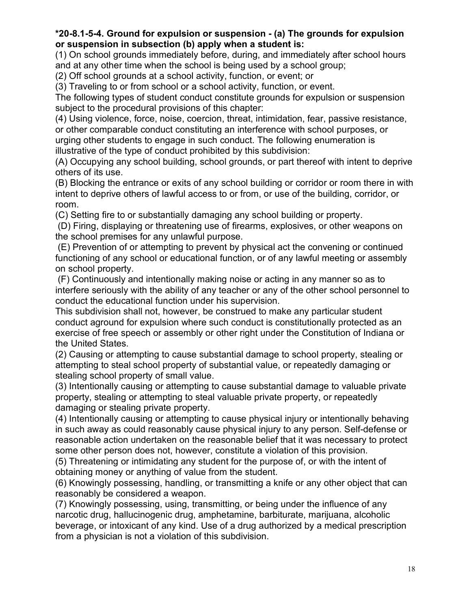#### \*20-8.1-5-4. Ground for expulsion or suspension - (a) The grounds for expulsion or suspension in subsection (b) apply when a student is:

(1) On school grounds immediately before, during, and immediately after school hours and at any other time when the school is being used by a school group;

(2) Off school grounds at a school activity, function, or event; or

(3) Traveling to or from school or a school activity, function, or event.

The following types of student conduct constitute grounds for expulsion or suspension subject to the procedural provisions of this chapter:

(4) Using violence, force, noise, coercion, threat, intimidation, fear, passive resistance, or other comparable conduct constituting an interference with school purposes, or urging other students to engage in such conduct. The following enumeration is illustrative of the type of conduct prohibited by this subdivision:

(A) Occupying any school building, school grounds, or part thereof with intent to deprive others of its use.

(B) Blocking the entrance or exits of any school building or corridor or room there in with intent to deprive others of lawful access to or from, or use of the building, corridor, or room.

(C) Setting fire to or substantially damaging any school building or property.

 (D) Firing, displaying or threatening use of firearms, explosives, or other weapons on the school premises for any unlawful purpose.

 (E) Prevention of or attempting to prevent by physical act the convening or continued functioning of any school or educational function, or of any lawful meeting or assembly on school property.

 (F) Continuously and intentionally making noise or acting in any manner so as to interfere seriously with the ability of any teacher or any of the other school personnel to conduct the educational function under his supervision.

This subdivision shall not, however, be construed to make any particular student conduct aground for expulsion where such conduct is constitutionally protected as an exercise of free speech or assembly or other right under the Constitution of Indiana or the United States.

(2) Causing or attempting to cause substantial damage to school property, stealing or attempting to steal school property of substantial value, or repeatedly damaging or stealing school property of small value.

(3) Intentionally causing or attempting to cause substantial damage to valuable private property, stealing or attempting to steal valuable private property, or repeatedly damaging or stealing private property.

(4) Intentionally causing or attempting to cause physical injury or intentionally behaving in such away as could reasonably cause physical injury to any person. Self-defense or reasonable action undertaken on the reasonable belief that it was necessary to protect some other person does not, however, constitute a violation of this provision.

(5) Threatening or intimidating any student for the purpose of, or with the intent of obtaining money or anything of value from the student.

(6) Knowingly possessing, handling, or transmitting a knife or any other object that can reasonably be considered a weapon.

(7) Knowingly possessing, using, transmitting, or being under the influence of any narcotic drug, hallucinogenic drug, amphetamine, barbiturate, marijuana, alcoholic beverage, or intoxicant of any kind. Use of a drug authorized by a medical prescription from a physician is not a violation of this subdivision.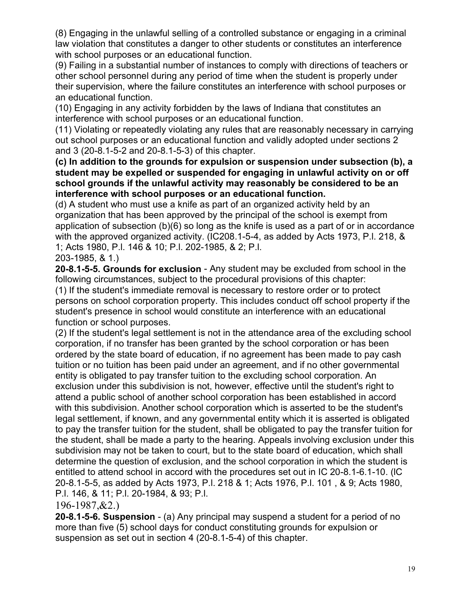(8) Engaging in the unlawful selling of a controlled substance or engaging in a criminal law violation that constitutes a danger to other students or constitutes an interference with school purposes or an educational function.

(9) Failing in a substantial number of instances to comply with directions of teachers or other school personnel during any period of time when the student is properly under their supervision, where the failure constitutes an interference with school purposes or an educational function.

(10) Engaging in any activity forbidden by the laws of Indiana that constitutes an interference with school purposes or an educational function.

(11) Violating or repeatedly violating any rules that are reasonably necessary in carrying out school purposes or an educational function and validly adopted under sections 2 and 3 (20-8.1-5-2 and 20-8.1-5-3) of this chapter.

 (c) In addition to the grounds for expulsion or suspension under subsection (b), a student may be expelled or suspended for engaging in unlawful activity on or off school grounds if the unlawful activity may reasonably be considered to be an interference with school purposes or an educational function.

(d) A student who must use a knife as part of an organized activity held by an organization that has been approved by the principal of the school is exempt from application of subsection (b)(6) so long as the knife is used as a part of or in accordance with the approved organized activity. (IC208.1-5-4, as added by Acts 1973, P.l. 218, & 1; Acts 1980, P.l. 146 & 10; P.l. 202-1985, & 2; P.l.

203-1985, & 1.)

20-8.1-5-5. Grounds for exclusion - Any student may be excluded from school in the following circumstances, subject to the procedural provisions of this chapter:

(1) If the student's immediate removal is necessary to restore order or to protect persons on school corporation property. This includes conduct off school property if the student's presence in school would constitute an interference with an educational function or school purposes.

(2) If the student's legal settlement is not in the attendance area of the excluding school corporation, if no transfer has been granted by the school corporation or has been ordered by the state board of education, if no agreement has been made to pay cash tuition or no tuition has been paid under an agreement, and if no other governmental entity is obligated to pay transfer tuition to the excluding school corporation. An exclusion under this subdivision is not, however, effective until the student's right to attend a public school of another school corporation has been established in accord with this subdivision. Another school corporation which is asserted to be the student's legal settlement, if known, and any governmental entity which it is asserted is obligated to pay the transfer tuition for the student, shall be obligated to pay the transfer tuition for the student, shall be made a party to the hearing. Appeals involving exclusion under this subdivision may not be taken to court, but to the state board of education, which shall determine the question of exclusion, and the school corporation in which the student is entitled to attend school in accord with the procedures set out in IC 20-8.1-6.1-10. (lC 20-8.1-5-5, as added by Acts 1973, P.l. 218 & 1; Acts 1976, P.l. 101 , & 9; Acts 1980, P.l. 146, & 11; P.l. 20-1984, & 93; P.l.

#### 196-1987,&2.)

20-8.1-5-6. Suspension - (a) Any principal may suspend a student for a period of no more than five (5) school days for conduct constituting grounds for expulsion or suspension as set out in section 4 (20-8.1-5-4) of this chapter.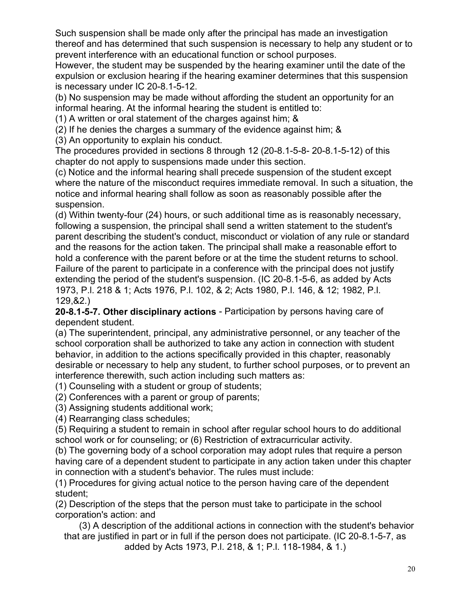Such suspension shall be made only after the principal has made an investigation thereof and has determined that such suspension is necessary to help any student or to prevent interference with an educational function or school purposes.

However, the student may be suspended by the hearing examiner until the date of the expulsion or exclusion hearing if the hearing examiner determines that this suspension is necessary under IC 20-8.1-5-12.

(b) No suspension may be made without affording the student an opportunity for an informal hearing. At the informal hearing the student is entitled to:

(1) A written or oral statement of the charges against him; &

(2) If he denies the charges a summary of the evidence against him; &

(3) An opportunity to explain his conduct.

The procedures provided in sections 8 through 12 (20-8.1-5-8- 20-8.1-5-12) of this chapter do not apply to suspensions made under this section.

(c) Notice and the informal hearing shall precede suspension of the student except where the nature of the misconduct requires immediate removal. In such a situation, the notice and informal hearing shall follow as soon as reasonably possible after the suspension.

(d) Within twenty-four (24) hours, or such additional time as is reasonably necessary, following a suspension, the principal shall send a written statement to the student's parent describing the student's conduct, misconduct or violation of any rule or standard and the reasons for the action taken. The principal shall make a reasonable effort to hold a conference with the parent before or at the time the student returns to school. Failure of the parent to participate in a conference with the principal does not justify extending the period of the student's suspension. (IC 20-8.1-5-6, as added by Acts 1973, P.l. 218 & 1; Acts 1976, P.l. 102, & 2; Acts 1980, P.l. 146, & 12; 1982, P.l. 129,&2.)

20-8.1-5-7. Other disciplinary actions - Participation by persons having care of dependent student.

(a) The superintendent, principal, any administrative personnel, or any teacher of the school corporation shall be authorized to take any action in connection with student behavior, in addition to the actions specifically provided in this chapter, reasonably desirable or necessary to help any student, to further school purposes, or to prevent an interference therewith, such action including such matters as:

(1) Counseling with a student or group of students;

(2) Conferences with a parent or group of parents;

(3) Assigning students additional work;

(4) Rearranging class schedules;

(5) Requiring a student to remain in school after regular school hours to do additional school work or for counseling; or (6) Restriction of extracurricular activity.

(b) The governing body of a school corporation may adopt rules that require a person having care of a dependent student to participate in any action taken under this chapter in connection with a student's behavior. The rules must include:

(1) Procedures for giving actual notice to the person having care of the dependent student;

 (2) Description of the steps that the person must take to participate in the school corporation's action: and

 (3) A description of the additional actions in connection with the student's behavior that are justified in part or in full if the person does not participate. (IC 20-8.1-5-7, as added by Acts 1973, P.l. 218, & 1; P.l. 118-1984, & 1.)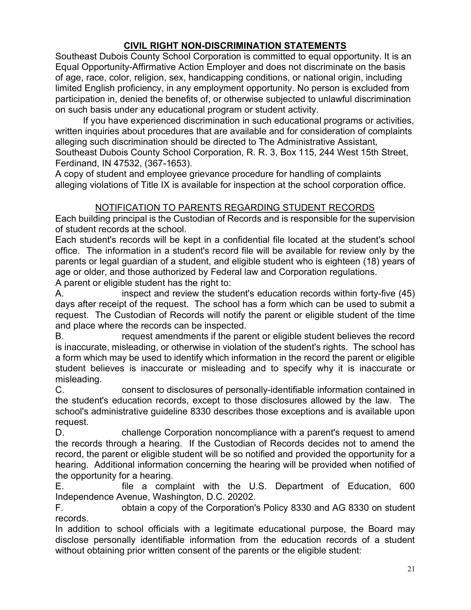# CIVIL RIGHT NON-DISCRIMINATION STATEMENTS

Southeast Dubois County School Corporation is committed to equal opportunity. It is an Equal Opportunity-Affirmative Action Employer and does not discriminate on the basis of age, race, color, religion, sex, handicapping conditions, or national origin, including limited English proficiency, in any employment opportunity. No person is excluded from participation in, denied the benefits of, or otherwise subjected to unlawful discrimination on such basis under any educational program or student activity.

If you have experienced discrimination in such educational programs or activities, written inquiries about procedures that are available and for consideration of complaints alleging such discrimination should be directed to The Administrative Assistant, Southeast Dubois County School Corporation, R. R. 3, Box 115, 244 West 15th Street, Ferdinand, IN 47532, (367-1653).

A copy of student and employee grievance procedure for handling of complaints alleging violations of Title IX is available for inspection at the school corporation office.

#### NOTIFICATION TO PARENTS REGARDING STUDENT RECORDS

Each building principal is the Custodian of Records and is responsible for the supervision of student records at the school.

Each student's records will be kept in a confidential file located at the student's school office. The information in a student's record file will be available for review only by the parents or legal guardian of a student, and eligible student who is eighteen (18) years of age or older, and those authorized by Federal law and Corporation regulations.

A parent or eligible student has the right to:

A. inspect and review the student's education records within forty-five (45) days after receipt of the request. The school has a form which can be used to submit a request. The Custodian of Records will notify the parent or eligible student of the time and place where the records can be inspected.

B. request amendments if the parent or eligible student believes the record is inaccurate, misleading, or otherwise in violation of the student's rights. The school has a form which may be used to identify which information in the record the parent or eligible student believes is inaccurate or misleading and to specify why it is inaccurate or misleading.

C. consent to disclosures of personally-identifiable information contained in the student's education records, except to those disclosures allowed by the law. The school's administrative guideline 8330 describes those exceptions and is available upon request.

D. challenge Corporation noncompliance with a parent's request to amend the records through a hearing. If the Custodian of Records decides not to amend the record, the parent or eligible student will be so notified and provided the opportunity for a hearing. Additional information concerning the hearing will be provided when notified of the opportunity for a hearing.

E. file a complaint with the U.S. Department of Education, 600 Independence Avenue, Washington, D.C. 20202.

F. obtain a copy of the Corporation's Policy 8330 and AG 8330 on student records.

In addition to school officials with a legitimate educational purpose, the Board may disclose personally identifiable information from the education records of a student without obtaining prior written consent of the parents or the eligible student: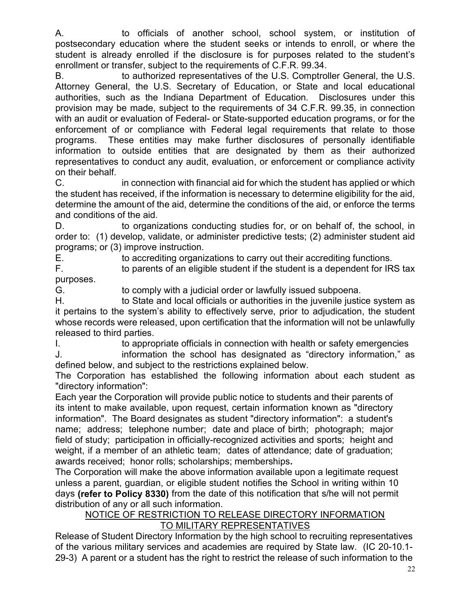A. to officials of another school, school system, or institution of postsecondary education where the student seeks or intends to enroll, or where the student is already enrolled if the disclosure is for purposes related to the student's enrollment or transfer, subject to the requirements of C.F.R. 99.34.

B. to authorized representatives of the U.S. Comptroller General, the U.S. Attorney General, the U.S. Secretary of Education, or State and local educational authorities, such as the Indiana Department of Education. Disclosures under this provision may be made, subject to the requirements of 34 C.F.R. 99.35, in connection with an audit or evaluation of Federal- or State-supported education programs, or for the enforcement of or compliance with Federal legal requirements that relate to those programs. These entities may make further disclosures of personally identifiable information to outside entities that are designated by them as their authorized representatives to conduct any audit, evaluation, or enforcement or compliance activity on their behalf.

C. in connection with financial aid for which the student has applied or which the student has received, if the information is necessary to determine eligibility for the aid, determine the amount of the aid, determine the conditions of the aid, or enforce the terms and conditions of the aid.

D. to organizations conducting studies for, or on behalf of, the school, in order to: (1) develop, validate, or administer predictive tests; (2) administer student aid programs; or (3) improve instruction.

E. to accrediting organizations to carry out their accrediting functions.

F. to parents of an eligible student if the student is a dependent for IRS tax purposes.

G. to comply with a judicial order or lawfully issued subpoena.

H. to State and local officials or authorities in the juvenile justice system as it pertains to the system's ability to effectively serve, prior to adjudication, the student whose records were released, upon certification that the information will not be unlawfully released to third parties.

I. to appropriate officials in connection with health or safety emergencies

J. information the school has designated as "directory information," as defined below, and subject to the restrictions explained below.

 The Corporation has established the following information about each student as "directory information":

Each year the Corporation will provide public notice to students and their parents of its intent to make available, upon request, certain information known as "directory information". The Board designates as student "directory information": a student's name; address; telephone number; date and place of birth; photograph; major field of study; participation in officially-recognized activities and sports; height and weight, if a member of an athletic team; dates of attendance; date of graduation; awards received; honor rolls; scholarships; memberships.

The Corporation will make the above information available upon a legitimate request unless a parent, guardian, or eligible student notifies the School in writing within 10 days (refer to Policy 8330) from the date of this notification that s/he will not permit distribution of any or all such information.

#### NOTICE OF RESTRICTION TO RELEASE DIRECTORY INFORMATION TO MILITARY REPRESENTATIVES

Release of Student Directory Information by the high school to recruiting representatives of the various military services and academies are required by State law. (IC 20-10.1- 29-3) A parent or a student has the right to restrict the release of such information to the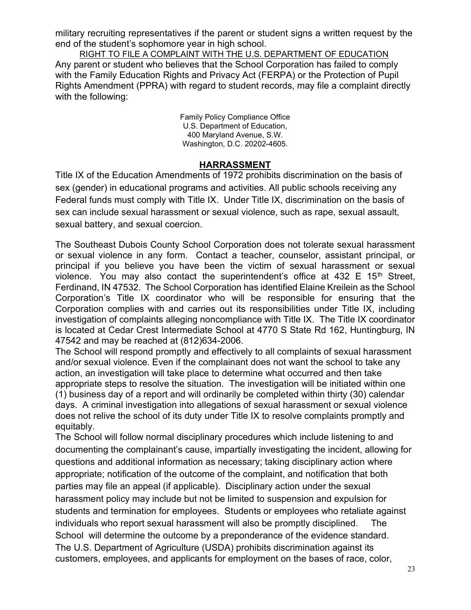military recruiting representatives if the parent or student signs a written request by the end of the student's sophomore year in high school.

RIGHT TO FILE A COMPLAINT WITH THE U.S. DEPARTMENT OF EDUCATION Any parent or student who believes that the School Corporation has failed to comply with the Family Education Rights and Privacy Act (FERPA) or the Protection of Pupil Rights Amendment (PPRA) with regard to student records, may file a complaint directly with the following:

> Family Policy Compliance Office U.S. Department of Education, 400 Maryland Avenue, S.W. Washington, D.C. 20202-4605.

#### HARRASSMENT

Title IX of the Education Amendments of 1972 prohibits discrimination on the basis of sex (gender) in educational programs and activities. All public schools receiving any Federal funds must comply with Title IX. Under Title IX, discrimination on the basis of sex can include sexual harassment or sexual violence, such as rape, sexual assault, sexual battery, and sexual coercion.

The Southeast Dubois County School Corporation does not tolerate sexual harassment or sexual violence in any form. Contact a teacher, counselor, assistant principal, or principal if you believe you have been the victim of sexual harassment or sexual violence. You may also contact the superintendent's office at  $432 \text{ E } 15^{\text{th}}$  Street, Ferdinand, IN 47532. The School Corporation has identified Elaine Kreilein as the School Corporation's Title IX coordinator who will be responsible for ensuring that the Corporation complies with and carries out its responsibilities under Title IX, including investigation of complaints alleging noncompliance with Title IX. The Title IX coordinator is located at Cedar Crest Intermediate School at 4770 S State Rd 162, Huntingburg, IN 47542 and may be reached at (812)634-2006.

The School will respond promptly and effectively to all complaints of sexual harassment and/or sexual violence. Even if the complainant does not want the school to take any action, an investigation will take place to determine what occurred and then take appropriate steps to resolve the situation. The investigation will be initiated within one (1) business day of a report and will ordinarily be completed within thirty (30) calendar days. A criminal investigation into allegations of sexual harassment or sexual violence does not relive the school of its duty under Title IX to resolve complaints promptly and equitably.

The School will follow normal disciplinary procedures which include listening to and documenting the complainant's cause, impartially investigating the incident, allowing for questions and additional information as necessary; taking disciplinary action where appropriate; notification of the outcome of the complaint, and notification that both parties may file an appeal (if applicable). Disciplinary action under the sexual harassment policy may include but not be limited to suspension and expulsion for students and termination for employees. Students or employees who retaliate against individuals who report sexual harassment will also be promptly disciplined. The School will determine the outcome by a preponderance of the evidence standard. The U.S. Department of Agriculture (USDA) prohibits discrimination against its customers, employees, and applicants for employment on the bases of race, color,